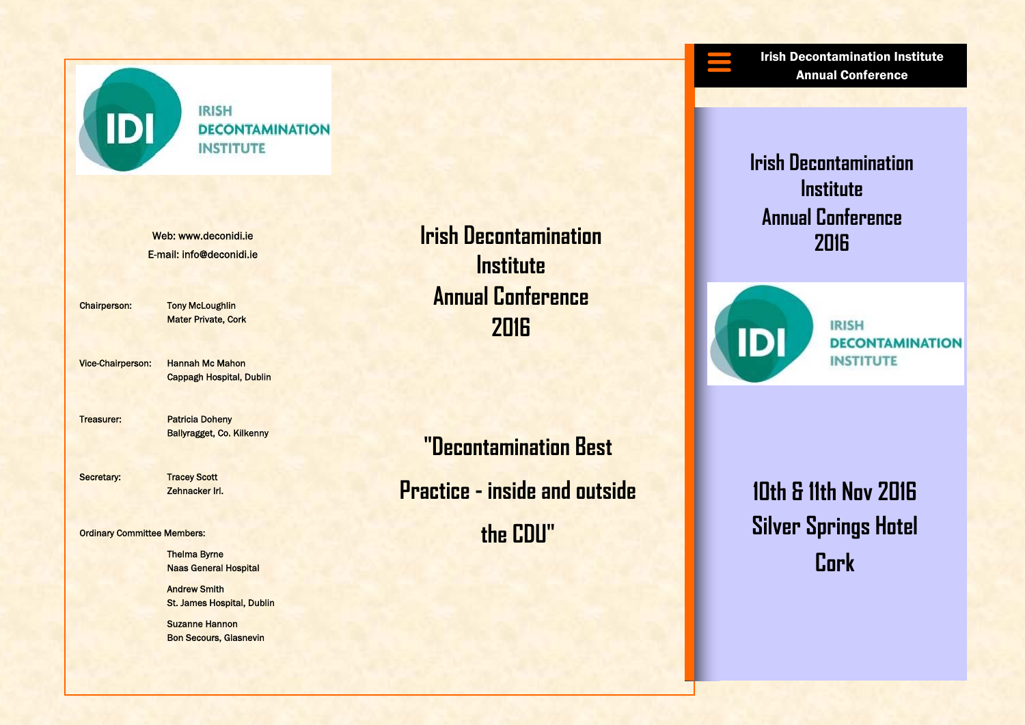

### **IRISH DECONTAMINATION INSTITUTE**

E-mail: info@deconidi.ie

Chairperson: Tony McLoughlin Mater Private, Cork

Vice-Chairperson: Hannah Mc Mahon Cappagh Hospital, Dublin

Treasurer: Patricia Doheny Ballyragget, Co. Kilkenny

Secretary: Tracey Scott

Zehnacker Irl.

#### Ordinary Committee Members:

 Thelma Byrne Naas General Hospital

**Andrew Smith** St. James Hospital, Dublin

**Suzanne Hannon** Bon Secours, Glasnevin

**2016 Report info@deconidi.ie** Integration of the Irish Decontamination **Integration in the Indian Indian Indian Indian Indian Indian Indian Indian Indian Indian Indian Indian Indian Indian Indian Indian Indian Indian Indi Institute Annual Conference 2016** 

> **"Decontamination Best Practice - inside and outside the CDU"**

Irish Decontamination Institute Annual Conference

**Irish Decontamination Institute Annual Conference** 



**IRISH DECONTAMINATION INSTITUTE** 

**10th & 11th Nov 2016 Silver Springs Hotel Cork**